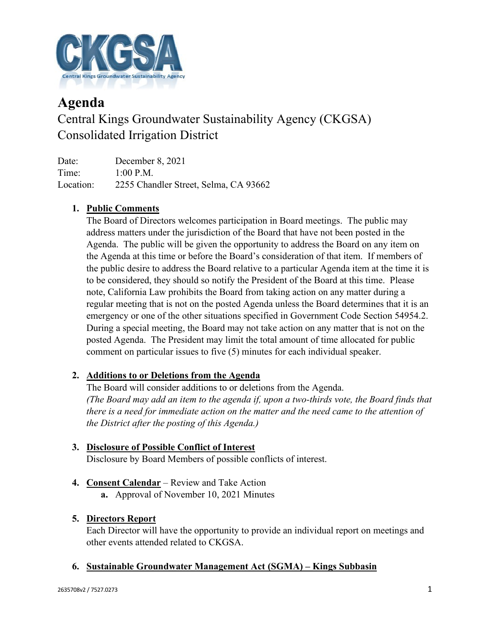

# **Agenda** Central Kings Groundwater Sustainability Agency (CKGSA) Consolidated Irrigation District

Date: December 8, 2021 Time: 1:00 P.M. Location: 2255 Chandler Street, Selma, CA 93662

## **1. Public Comments**

The Board of Directors welcomes participation in Board meetings. The public may address matters under the jurisdiction of the Board that have not been posted in the Agenda. The public will be given the opportunity to address the Board on any item on the Agenda at this time or before the Board's consideration of that item. If members of the public desire to address the Board relative to a particular Agenda item at the time it is to be considered, they should so notify the President of the Board at this time. Please note, California Law prohibits the Board from taking action on any matter during a regular meeting that is not on the posted Agenda unless the Board determines that it is an emergency or one of the other situations specified in Government Code Section 54954.2. During a special meeting, the Board may not take action on any matter that is not on the posted Agenda. The President may limit the total amount of time allocated for public comment on particular issues to five (5) minutes for each individual speaker.

### **2. Additions to or Deletions from the Agenda**

The Board will consider additions to or deletions from the Agenda. *(The Board may add an item to the agenda if, upon a two-thirds vote, the Board finds that there is a need for immediate action on the matter and the need came to the attention of the District after the posting of this Agenda.)*

## **3. Disclosure of Possible Conflict of Interest**

Disclosure by Board Members of possible conflicts of interest.

- **4. Consent Calendar** Review and Take Action
	- **a.** Approval of November 10, 2021 Minutes

### **5. Directors Report**

Each Director will have the opportunity to provide an individual report on meetings and other events attended related to CKGSA.

#### **6. Sustainable Groundwater Management Act (SGMA) – Kings Subbasin**